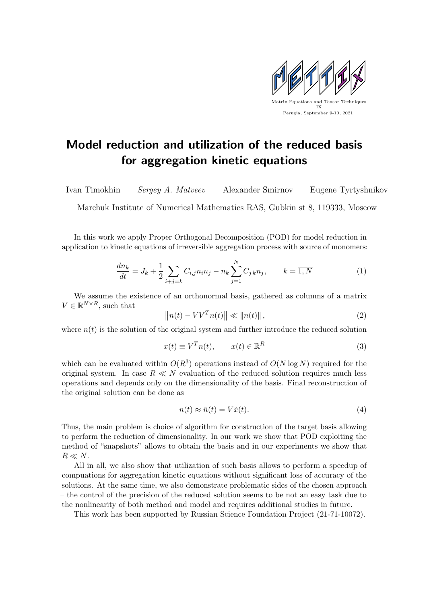

## Model reduction and utilization of the reduced basis for aggregation kinetic equations

Ivan Timokhin Sergey A. Matveev Alexander Smirnov Eugene Tyrtyshnikov

Marchuk Institute of Numerical Mathematics RAS, Gubkin st 8, 119333, Moscow

In this work we apply Proper Orthogonal Decomposition (POD) for model reduction in application to kinetic equations of irreversible aggregation process with source of monomers:

$$
\frac{dn_k}{dt} = J_k + \frac{1}{2} \sum_{i+j=k} C_{i,j} n_i n_j - n_k \sum_{j=1}^{N} C_{j,k} n_j, \qquad k = \overline{1, N} \tag{1}
$$

We assume the existence of an orthonormal basis, gathered as columns of a matrix  $V \in \mathbb{R}^{N \times R}$ , such that

$$
\|n(t) - VV^{T}n(t)\| \ll \|n(t)\|,
$$
\n(2)

where  $n(t)$  is the solution of the original system and further introduce the reduced solution

$$
x(t) \equiv V^T n(t), \qquad x(t) \in \mathbb{R}^R \tag{3}
$$

which can be evaluated within  $O(R^3)$  operations instead of  $O(N \log N)$  required for the original system. In case  $R \ll N$  evaluation of the reduced solution requires much less operations and depends only on the dimensionality of the basis. Final reconstruction of the original solution can be done as

$$
n(t) \approx \tilde{n}(t) = V\tilde{x}(t). \tag{4}
$$

Thus, the main problem is choice of algorithm for construction of the target basis allowing to perform the reduction of dimensionality. In our work we show that POD exploiting the method of "snapshots" allows to obtain the basis and in our experiments we show that  $R\ll N.$ 

All in all, we also show that utilization of such basis allows to perform a speedup of compuations for aggregation kinetic equations without significant loss of accuracy of the solutions. At the same time, we also demonstrate problematic sides of the chosen approach – the control of the precision of the reduced solution seems to be not an easy task due to the nonlinearity of both method and model and requires additional studies in future.

This work has been supported by Russian Science Foundation Project (21-71-10072).